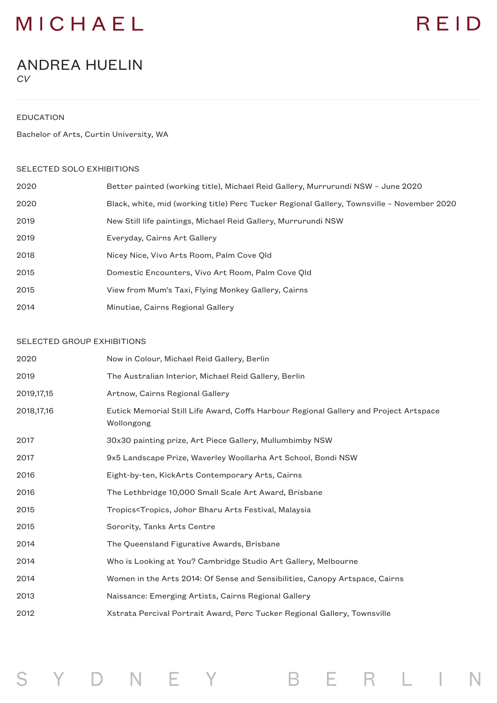### MICHAEL

# REID

### ANDREA HUELIN *CV*

EDUCATION

Bachelor of Arts, Curtin University, WA

#### SELECTED SOLO EXHIBITIONS

| 2020 | Better painted (working title), Michael Reid Gallery, Murrurundi NSW - June 2020           |
|------|--------------------------------------------------------------------------------------------|
| 2020 | Black, white, mid (working title) Perc Tucker Regional Gallery, Townsville - November 2020 |
| 2019 | New Still life paintings, Michael Reid Gallery, Murrurundi NSW                             |
| 2019 | Everyday, Cairns Art Gallery                                                               |
| 2018 | Nicey Nice, Vivo Arts Room, Palm Cove Qld                                                  |
| 2015 | Domestic Encounters, Vivo Art Room, Palm Cove Old                                          |
| 2015 | View from Mum's Taxi, Flying Monkey Gallery, Cairns                                        |
| 2014 | Minutiae, Cairns Regional Gallery                                                          |

#### SELECTED GROUP EXHIBITIONS

| 2020         | Now in Colour, Michael Reid Gallery, Berlin                                                         |
|--------------|-----------------------------------------------------------------------------------------------------|
| 2019         | The Australian Interior, Michael Reid Gallery, Berlin                                               |
| 2019, 17, 15 | Artnow, Cairns Regional Gallery                                                                     |
| 2018, 17, 16 | Eutick Memorial Still Life Award, Coffs Harbour Regional Gallery and Project Artspace<br>Wollongong |
| 2017         | 30x30 painting prize, Art Piece Gallery, Mullumbimby NSW                                            |
| 2017         | 9x5 Landscape Prize, Waverley Woollarha Art School, Bondi NSW                                       |
| 2016         | Eight-by-ten, KickArts Contemporary Arts, Cairns                                                    |
| 2016         | The Lethbridge 10,000 Small Scale Art Award, Brisbane                                               |
| 2015         | Tropics <tropics, arts="" bharu="" festival,="" johor="" malaysia<="" td=""></tropics,>             |
| 2015         | Sorority, Tanks Arts Centre                                                                         |
| 2014         | The Queensland Figurative Awards, Brisbane                                                          |
| 2014         | Who is Looking at You? Cambridge Studio Art Gallery, Melbourne                                      |
| 2014         | Women in the Arts 2014: Of Sense and Sensibilities, Canopy Artspace, Cairns                         |
| 2013         | Naissance: Emerging Artists, Cairns Regional Gallery                                                |
| 2012         | Xstrata Percival Portrait Award, Perc Tucker Regional Gallery, Townsville                           |
|              |                                                                                                     |

B E R L I

N

Y D N E Y